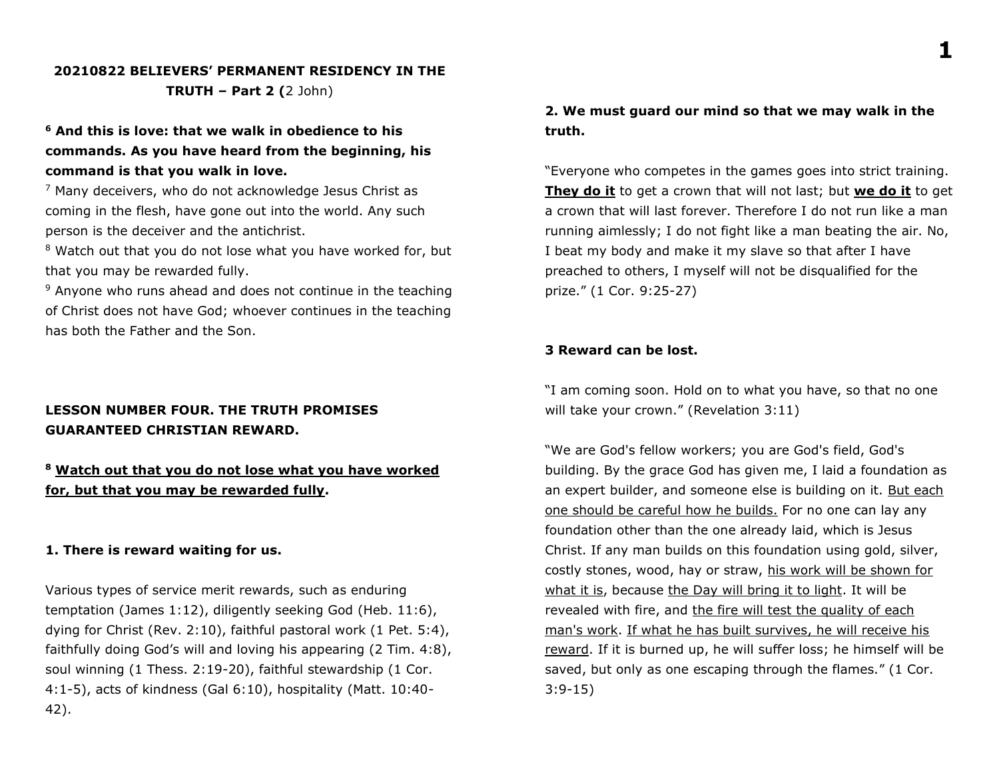### **20210822 BELIEVERS' PERMANENT RESIDENCY IN THE TRUTH – Part 2 (**2 John)

# **<sup>6</sup> And this is love: that we walk in obedience to his commands. As you have heard from the beginning, his command is that you walk in love.**

 $7$  Many deceivers, who do not acknowledge Jesus Christ as coming in the flesh, have gone out into the world. Any such person is the deceiver and the antichrist.

<sup>8</sup> Watch out that you do not lose what you have worked for, but that you may be rewarded fully.

 $9$  Anyone who runs ahead and does not continue in the teaching of Christ does not have God; whoever continues in the teaching has both the Father and the Son.

# **LESSON NUMBER FOUR. THE TRUTH PROMISES GUARANTEED CHRISTIAN REWARD.**

# **<sup>8</sup> Watch out that you do not lose what you have worked for, but that you may be rewarded fully.**

#### **1. There is reward waiting for us.**

Various types of service merit rewards, such as enduring temptation (James 1:12), diligently seeking God (Heb. 11:6), dying for Christ (Rev. 2:10), faithful pastoral work (1 Pet. 5:4), faithfully doing God's will and loving his appearing (2 Tim. 4:8), soul winning (1 Thess. 2:19-20), faithful stewardship (1 Cor. 4:1-5), acts of kindness (Gal 6:10), hospitality (Matt. 10:40- 42).

### **2. We must guard our mind so that we may walk in the truth.**

"Everyone who competes in the games goes into strict training. **They do it** to get a crown that will not last; but **we do it** to get a crown that will last forever. Therefore I do not run like a man running aimlessly; I do not fight like a man beating the air. No, I beat my body and make it my slave so that after I have preached to others, I myself will not be disqualified for the prize." (1 Cor. 9:25-27)

#### **3 Reward can be lost.**

"I am coming soon. Hold on to what you have, so that no one will take your crown." (Revelation 3:11)

"We are God's fellow workers; you are God's field, God's building. By the grace God has given me, I laid a foundation as an expert builder, and someone else is building on it. But each one should be careful how he builds. For no one can lay any foundation other than the one already laid, which is Jesus Christ. If any man builds on this foundation using gold, silver, costly stones, wood, hay or straw, his work will be shown for what it is, because the Day will bring it to light. It will be revealed with fire, and the fire will test the quality of each man's work. If what he has built survives, he will receive his reward. If it is burned up, he will suffer loss; he himself will be saved, but only as one escaping through the flames." (1 Cor. 3:9-15)